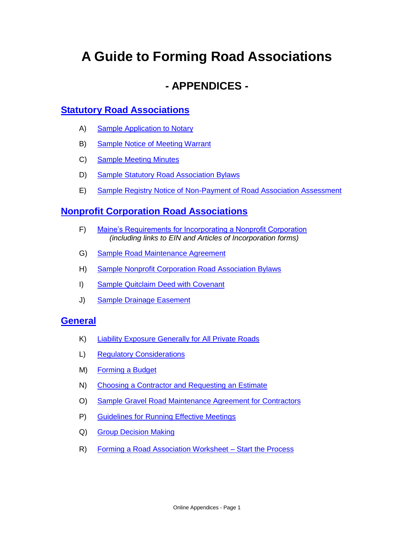# **A Guide to Forming Road Associations**

# **- APPENDICES -**

# **[Statutory Road Associations](#page-12-0)**

- A) [Sample Application to Notary](#page-1-0)
- B) [Sample Notice of Meeting Warrant](#page-2-0)
- C) [Sample Meeting Minutes](#page-4-0)
- D) [Sample Statutory Road Association Bylaws](#page-6-0)
- E) [Sample Registry Notice of Non-Payment of Road Association Assessment](#page-10-0)

# **[Nonprofit Corporation Road Associations](#page-12-0)**

- F) [Maine's Requirements for Incorporating a Nonprofit Corporation](#page-12-1) *(including links to EIN and Articles of Incorporation forms)*
- G) [Sample Road Maintenance Agreement](#page-14-0)
- H) [Sample Nonprofit Corporation Road Association Bylaws](#page-16-0)
- I) [Sample Quitclaim Deed with Covenant](#page-21-0)
- J) [Sample Drainage Easement](#page-22-0)

# **[General](#page-23-0)**

- K) [Liability Exposure Generally for All Private Roads](#page-23-1)
- L) [Regulatory Considerations](#page-24-0)
- M) [Forming a Budget](#page-26-0)
- N) [Choosing a Contractor and Requesting an Estimate](#page-28-0)
- O) [Sample Gravel Road Maintenance Agreement for Contractors](#page-30-0)
- P) [Guidelines for Running Effective Meetings](#page-32-0)
- Q) [Group Decision Making](#page-33-0)
- R) [Forming a Road Association Worksheet Start the Process](#page-35-0)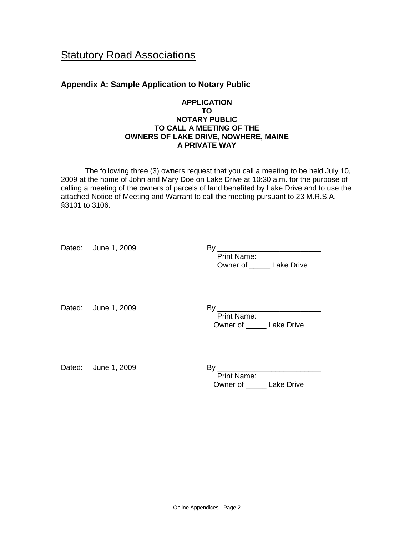# **Statutory Road Associations**

# <span id="page-1-0"></span>**Appendix A: Sample Application to Notary Public**

## **APPLICATION TO NOTARY PUBLIC TO CALL A MEETING OF THE OWNERS OF LAKE DRIVE, NOWHERE, MAINE A PRIVATE WAY**

The following three (3) owners request that you call a meeting to be held July 10, 2009 at the home of John and Mary Doe on Lake Drive at 10:30 a.m. for the purpose of calling a meeting of the owners of parcels of land benefited by Lake Drive and to use the attached Notice of Meeting and Warrant to call the meeting pursuant to 23 M.R.S.A. §3101 to 3106.

| Dated: June 1, 2009 | By<br><b>Print Name:</b><br>Owner of _______ Lake Drive |
|---------------------|---------------------------------------------------------|
| Dated: June 1, 2009 | <b>Print Name:</b><br>Owner of Lake Drive               |
| Dated: June 1, 2009 | <b>Print Name:</b><br>Owner of _______ Lake Drive       |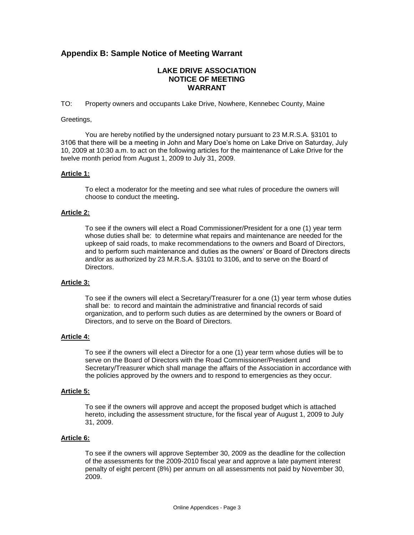# <span id="page-2-0"></span>**Appendix B: Sample Notice of Meeting Warrant**

## **LAKE DRIVE ASSOCIATION NOTICE OF MEETING WARRANT**

TO: Property owners and occupants Lake Drive, Nowhere, Kennebec County, Maine

### Greetings,

You are hereby notified by the undersigned notary pursuant to 23 M.R.S.A. §3101 to 3106 that there will be a meeting in John and Mary Doe's home on Lake Drive on Saturday, July 10, 2009 at 10:30 a.m. to act on the following articles for the maintenance of Lake Drive for the twelve month period from August 1, 2009 to July 31, 2009.

#### **Article 1:**

To elect a moderator for the meeting and see what rules of procedure the owners will choose to conduct the meeting**.**

## **Article 2:**

To see if the owners will elect a Road Commissioner/President for a one (1) year term whose duties shall be: to determine what repairs and maintenance are needed for the upkeep of said roads, to make recommendations to the owners and Board of Directors, and to perform such maintenance and duties as the owners' or Board of Directors directs and/or as authorized by 23 M.R.S.A. §3101 to 3106, and to serve on the Board of Directors.

## **Article 3:**

To see if the owners will elect a Secretary/Treasurer for a one (1) year term whose duties shall be: to record and maintain the administrative and financial records of said organization, and to perform such duties as are determined by the owners or Board of Directors, and to serve on the Board of Directors.

## **Article 4:**

To see if the owners will elect a Director for a one (1) year term whose duties will be to serve on the Board of Directors with the Road Commissioner/President and Secretary/Treasurer which shall manage the affairs of the Association in accordance with the policies approved by the owners and to respond to emergencies as they occur.

### **Article 5:**

To see if the owners will approve and accept the proposed budget which is attached hereto, including the assessment structure, for the fiscal year of August 1, 2009 to July 31, 2009.

#### **Article 6:**

To see if the owners will approve September 30, 2009 as the deadline for the collection of the assessments for the 2009-2010 fiscal year and approve a late payment interest penalty of eight percent (8%) per annum on all assessments not paid by November 30, 2009.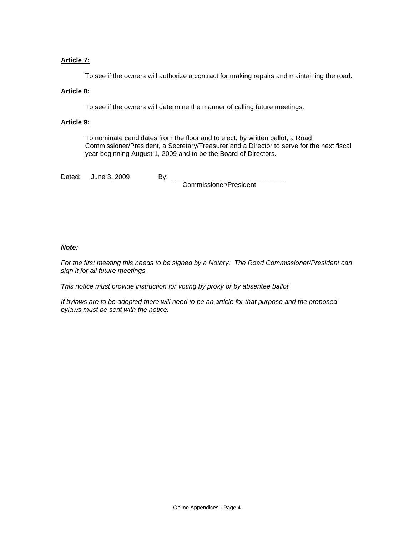## **Article 7:**

To see if the owners will authorize a contract for making repairs and maintaining the road.

## **Article 8:**

To see if the owners will determine the manner of calling future meetings.

## **Article 9:**

To nominate candidates from the floor and to elect, by written ballot, a Road Commissioner/President, a Secretary/Treasurer and a Director to serve for the next fiscal year beginning August 1, 2009 and to be the Board of Directors.

Dated: June 3, 2009 By: \_\_\_

Commissioner/President

## *Note:*

*For the first meeting this needs to be signed by a Notary. The Road Commissioner/President can sign it for all future meetings.*

*This notice must provide instruction for voting by proxy or by absentee ballot.*

*If bylaws are to be adopted there will need to be an article for that purpose and the proposed bylaws must be sent with the notice.*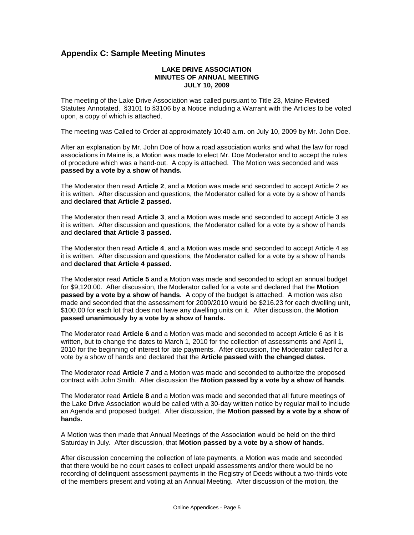# <span id="page-4-0"></span>**Appendix C: Sample Meeting Minutes**

#### **LAKE DRIVE ASSOCIATION MINUTES OF ANNUAL MEETING JULY 10, 2009**

The meeting of the Lake Drive Association was called pursuant to Title 23, Maine Revised Statutes Annotated, §3101 to §3106 by a Notice including a Warrant with the Articles to be voted upon, a copy of which is attached.

The meeting was Called to Order at approximately 10:40 a.m. on July 10, 2009 by Mr. John Doe.

After an explanation by Mr. John Doe of how a road association works and what the law for road associations in Maine is, a Motion was made to elect Mr. Doe Moderator and to accept the rules of procedure which was a hand-out. A copy is attached. The Motion was seconded and was **passed by a vote by a show of hands.** 

The Moderator then read **Article 2**, and a Motion was made and seconded to accept Article 2 as it is written. After discussion and questions, the Moderator called for a vote by a show of hands and **declared that Article 2 passed.** 

The Moderator then read **Article 3**, and a Motion was made and seconded to accept Article 3 as it is written. After discussion and questions, the Moderator called for a vote by a show of hands and **declared that Article 3 passed.** 

The Moderator then read **Article 4**, and a Motion was made and seconded to accept Article 4 as it is written. After discussion and questions, the Moderator called for a vote by a show of hands and **declared that Article 4 passed.** 

The Moderator read **Article 5** and a Motion was made and seconded to adopt an annual budget for \$9,120.00. After discussion, the Moderator called for a vote and declared that the **Motion passed by a vote by a show of hands.** A copy of the budget is attached. A motion was also made and seconded that the assessment for 2009/2010 would be \$216.23 for each dwelling unit, \$100.00 for each lot that does not have any dwelling units on it. After discussion, the **Motion passed unanimously by a vote by a show of hands.** 

The Moderator read **Article 6** and a Motion was made and seconded to accept Article 6 as it is written, but to change the dates to March 1, 2010 for the collection of assessments and April 1, 2010 for the beginning of interest for late payments. After discussion, the Moderator called for a vote by a show of hands and declared that the **Article passed with the changed dates.** 

The Moderator read **Article 7** and a Motion was made and seconded to authorize the proposed contract with John Smith. After discussion the **Motion passed by a vote by a show of hands**.

The Moderator read **Article 8** and a Motion was made and seconded that all future meetings of the Lake Drive Association would be called with a 30-day written notice by regular mail to include an Agenda and proposed budget. After discussion, the **Motion passed by a vote by a show of hands.**

A Motion was then made that Annual Meetings of the Association would be held on the third Saturday in July. After discussion, that **Motion passed by a vote by a show of hands.** 

After discussion concerning the collection of late payments, a Motion was made and seconded that there would be no court cases to collect unpaid assessments and/or there would be no recording of delinquent assessment payments in the Registry of Deeds without a two-thirds vote of the members present and voting at an Annual Meeting. After discussion of the motion, the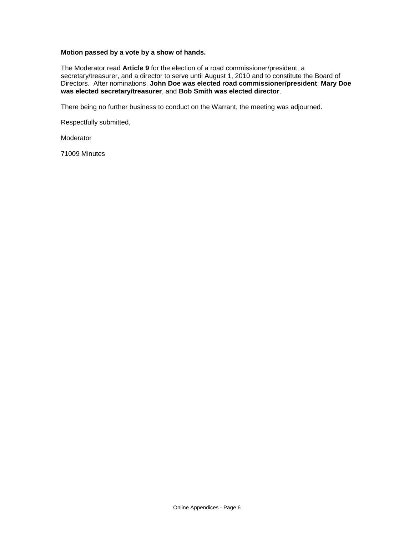## **Motion passed by a vote by a show of hands.**

The Moderator read **Article 9** for the election of a road commissioner/president, a secretary/treasurer, and a director to serve until August 1, 2010 and to constitute the Board of Directors. After nominations, **John Doe was elected road commissioner/president**; **Mary Doe was elected secretary/treasurer**, and **Bob Smith was elected director**.

There being no further business to conduct on the Warrant, the meeting was adjourned.

Respectfully submitted,

Moderator

71009 Minutes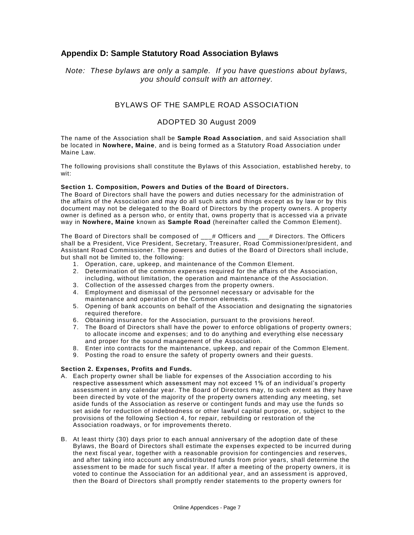# <span id="page-6-0"></span>**Appendix D: Sample Statutory Road Association Bylaws**

## *Note: These bylaws are only a sample. If you have questions about bylaws, you should consult with an attorney.*

## BYLAWS OF THE SAMPLE ROAD ASSOCIATION

## ADOPTED 30 August 2009

The name of the Association shall be **Sample Road Association**, and said Association shall be located in **Nowhere, Maine**, and is being formed as a Statutory Road Association under Maine Law.

The following provisions shall constitute the Bylaws of this Association, established hereby, to wit:

#### **Section 1. Composition, Powers and Duties of the Board of Directors.**

The Board of Directors shall have the powers and duties necessary for the administration of the affairs of the Association and may do all such acts and things except as by law or by this document may not be delegated to the Board of Directors by the property owners. A property owner is defined as a person who, or entity that, owns property that is accessed via a private way in **Nowhere, Maine** known as **Sample Road** (hereinafter called the Common Element).

The Board of Directors shall be composed of \_\_\_# Officers and \_\_\_# Directors. The Officers shall be a President, Vice President, Secretary, Treasurer, Road Commissioner/president, and Assistant Road Commissioner. The powers and duties of the Board of Directors shall include, but shall not be limited to, the following:

- 1. Operation, care, upkeep, and maintenance of the Common Element.
- 2. Determination of the common expenses required for the affairs of the Association, including, without limitation, the operation and maintenance of the Association.
- 3. Collection of the assessed charges from the property owners.
- 4. Employment and dismissal of the personnel necessary or advisable for the maintenance and operation of the Common elements.
- 5. Opening of bank accounts on behalf of the Association and designating the signatories required therefore.
- 6. Obtaining insurance for the Association, pursuant to the provisions hereof.
- 7. The Board of Directors shall have the power to enforce obligations of property owners; to allocate income and expenses; and to do anything and everything else necessary and proper for the sound management of the Association.
- 8. Enter into contracts for the maintenance, upkeep, and repair of the Common Element.
- 9. Posting the road to ensure the safety of property owners and their guests.

#### **Section 2. Expenses, Profits and Funds.**

- A. Each property owner shall be liable for expenses of the Association according to his respective assessment which assessment may not exceed 1% of an individual's property assessment in any calendar year. The Board of Directors may, to such extent as they have been directed by vote of the majority of the property owners attending any meeting, set aside funds of the Association as reserve or contingent funds and may use the funds so set aside for reduction of indebtedness or other lawful capital purpose, or, subject to the provisions of the following Section 4, for repair, rebuilding or restoration of the Association roadways, or for improvements thereto.
- B. At least thirty (30) days prior to each annual anniversary of the adoption date of these Bylaws, the Board of Directors shall estimate the expenses expected to be incurred during the next fiscal year, together with a reasonable provision for contingencies and reserves, and after taking into account any undistributed funds from prior years, shall determine the assessment to be made for such fiscal year. If after a meeting of the property owners, it is voted to continue the Association for an additional year, and an assessment is approved, then the Board of Directors shall promptly render statements to the property owners for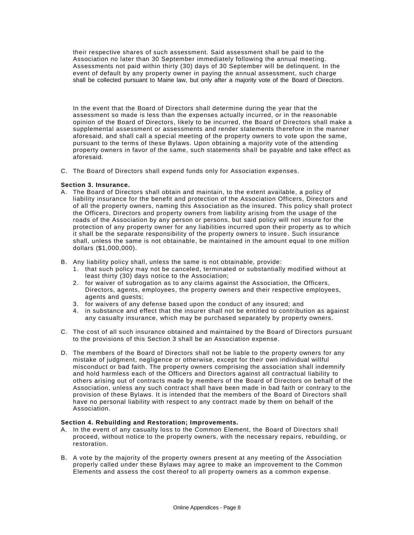their respective shares of such assessment. Said assessment shall be paid to the Association no later than 30 September immediately following the annual meeting. Assessments not paid within thirty (30) days of 30 September will be delinquent. In the event of default by any property owner in paying the annual assessment, such charge shall be collected pursuant to Maine law, but only after a majority vote of the Board of Directors.

In the event that the Board of Directors shall determine during the year that the assessment so made is less than the expenses actually incurred, or in the reasonable opinion of the Board of Directors, likely to be incurred, the Board of Directors shall make a supplemental assessment or assessments and render statements therefore in the manner aforesaid, and shall call a special meeting of the property owners to vote upon the same, pursuant to the terms of these Bylaws. Upon obtaining a majority vote of the attending property owners in favor of the same, such statements shall be payable and take effect as aforesaid.

C. The Board of Directors shall expend funds only for Association expenses.

#### **Section 3. Insurance.**

- A. The Board of Directors shall obtain and maintain, to the extent available, a policy of liability insurance for the benefit and protection of the Association Officers, Directors and of all the property owners, naming this Association as the insured. This policy shall protect the Officers, Directors and property owners from liability arising from the usage of the roads of the Association by any person or persons, but said policy will not insure for the protection of any property owner for any liabilities incurred upon their property as to which it shall be the separate responsibility of the property owners to insure. Such insurance shall, unless the same is not obtainable, be maintained in the amount equal to one million dollars (\$1,000,000).
- B. Any liability policy shall, unless the same is not obtainable, provide:
	- 1. that such policy may not be canceled, terminated or substantially modified without at least thirty (30) days notice to the Association;
	- 2. for waiver of subrogation as to any claims against the Association, the Officers, Directors, agents, employees, the property owners and their respective employees, agents and guests;
	- 3. for waivers of any defense based upon the conduct of any insured; and
	- 4. in substance and effect that the insurer shall not be entitled to contribution as against any casualty insurance, which may be purchased separately by property owners.
- C. The cost of all such insurance obtained and maintained by the Board of Directors pursuant to the provisions of this Section 3 shall be an Association expense.
- D. The members of the Board of Directors shall not be liable to the property owners for any mistake of judgment, negligence or otherwise, except for their own individual willful misconduct or bad faith. The property owners comprising the association shall indemnify and hold harmless each of the Officers and Directors against all contractual liability to others arising out of contracts made by members of the Board of Directors on behalf of the Association, unless any such contract shall have been made in bad faith or contrary to the provision of these Bylaws. It is intended that the members of the Board of Directors shall have no personal liability with respect to any contract made by them on behalf of the Association.

#### **Section 4. Rebuilding and Restoration; Improvements.**

- A. In the event of any casualty loss to the Common Element, the Board of Directors shall proceed, without notice to the property owners, with the necessary repairs, rebuilding, or restoration.
- B. A vote by the majority of the property owners present at any meeting of the Association properly called under these Bylaws may agree to make an improvement to the Common Elements and assess the cost thereof to all property owners as a common expense.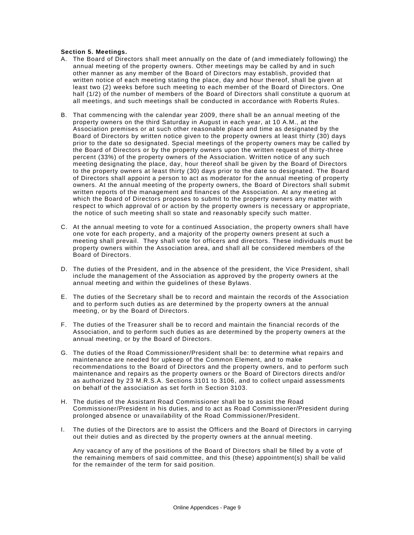#### **Section 5. Meetings.**

- A. The Board of Directors shall meet annually on the date of (and immediately following) the annual meeting of the property owners. Other meetings may be called by and in such other manner as any member of the Board of Directors may establish, provided that written notice of each meeting stating the place, day and hour thereof, shall be given at least two (2) weeks before such meeting to each member of the Board of Directors. One half (1/2) of the number of members of the Board of Directors shall constitute a quorum at all meetings, and such meetings shall be conducted in accordance with Roberts Rules.
- B. That commencing with the calendar year 2009, there shall be an annual meeting of the property owners on the third Saturday in August in each year, at 10 A.M., at the Association premises or at such other reasonable place and time as designated by the Board of Directors by written notice given to the property owners at least thirty (30) days prior to the date so designated. Special meetings of the property owners may be called by the Board of Directors or by the property owners upon the written request of thirty-three percent (33%) of the property owners of the Association. Written notice of any such meeting designating the place, day, hour thereof shall be given by the Board of Directors to the property owners at least thirty (30) days prior to the date so designated. The Board of Directors shall appoint a person to act as moderator for the annual meeting of property owners. At the annual meeting of the property owners, the Board of Directors shall submit written reports of the management and finances of the Association. At any meeting at which the Board of Directors proposes to submit to the property owners any matter with respect to which approval of or action by the property owners is necessary or appropriate, the notice of such meeting shall so state and reasonably specify such matter.
- C. At the annual meeting to vote for a continued Association, the property owners shall have one vote for each property, and a majority of the property owners present at such a meeting shall prevail. They shall vote for officers and directors. These individuals must be property owners within the Association area, and shall all be considered members of the Board of Directors.
- D. The duties of the President, and in the absence of the president, the Vice President, shall include the management of the Association as approved by the property owners at the annual meeting and within the guidelines of these Bylaws.
- E. The duties of the Secretary shall be to record and maintain the records of the Association and to perform such duties as are determined by the property owners at the annual meeting, or by the Board of Directors.
- F. The duties of the Treasurer shall be to record and maintain the financial records of the Association, and to perform such duties as are determined by the property owners at the annual meeting, or by the Board of Directors.
- G. The duties of the Road Commissioner/President shall be: to determine what repairs and maintenance are needed for upkeep of the Common Element, and to make recommendations to the Board of Directors and the property owners, and to perform such maintenance and repairs as the property owners or the Board of Directors directs and/or as authorized by 23 M.R.S.A. Sections 3101 to 3106, and to collect unpaid assessments on behalf of the association as set forth in Section 3103.
- H. The duties of the Assistant Road Commissioner shall be to assist the Road Commissioner/President in his duties, and to act as Road Commissioner/President during prolonged absence or unavailability of the Road Commissioner/President.
- I. The duties of the Directors are to assist the Officers and the Board of Directors in carrying out their duties and as directed by the property owners at the annual meeting.

Any vacancy of any of the positions of the Board of Directors shall be filled by a vote of the remaining members of said committee, and this (these) appointment(s) shall be valid for the remainder of the term for said position.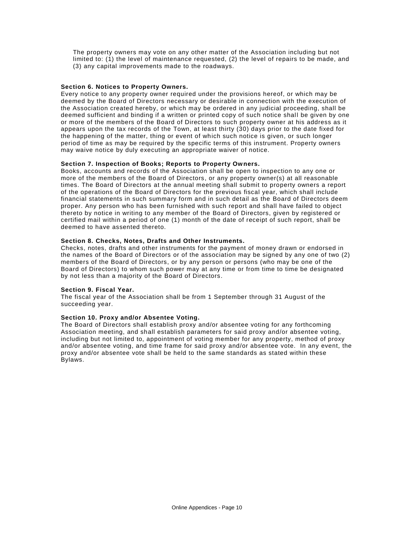The property owners may vote on any other matter of the Association including but not limited to: (1) the level of maintenance requested, (2) the level of repairs to be made, and (3) any capital improvements made to the roadways.

#### **Section 6. Notices to Property Owners.**

Every notice to any property owner required under the provisions hereof, or which may be deemed by the Board of Directors necessary or desirable in connection with the execution of the Association created hereby, or which may be ordered in any judicial proceeding, shall be deemed sufficient and binding if a written or printed copy of such notice shall be given by one or more of the members of the Board of Directors to such property owner at his address as it appears upon the tax records of the Town, at least thirty (30) days prior to the date fixed for the happening of the matter, thing or event of which such notice is given, or such longer period of time as may be required by the specific terms of this instrument. Property owners may waive notice by duly executing an appropriate waiver of notice.

#### **Section 7. Inspection of Books; Reports to Property Owners.**

Books, accounts and records of the Association shall be open to inspection to any one or more of the members of the Board of Directors, or any property owner(s) at all reasonable times. The Board of Directors at the annual meeting shall submit to property owners a report of the operations of the Board of Directors for the previous fiscal year, which shall include financial statements in such summary form and in such detail as the Board of Directors deem proper. Any person who has been furnished with such report and shall have failed to object thereto by notice in writing to any member of the Board of Directors, given by registered or certified mail within a period of one (1) month of the date of receipt of such report, shall be deemed to have assented thereto.

#### **Section 8. Checks, Notes, Drafts and Other Instruments.**

Checks, notes, drafts and other instruments for the payment of money drawn or endorsed in the names of the Board of Directors or of the association may be signed by any one of two (2) members of the Board of Directors, or by any person or persons (who may be one of the Board of Directors) to whom such power may at any time or from time to time be designated by not less than a majority of the Board of Directors.

#### **Section 9. Fiscal Year.**

The fiscal year of the Association shall be from 1 September through 31 August of the succeeding year.

#### **Section 10. Proxy and/or Absentee Voting.**

The Board of Directors shall establish proxy and/or absentee voting for any forthcoming Association meeting, and shall establish parameters for said proxy and/or absentee voting, including but not limited to, appointment of voting member for any property, method of proxy and/or absentee voting, and time frame for said proxy and/or absentee vote. In any event, the proxy and/or absentee vote shall be held to the same standards as stated within these Bylaws.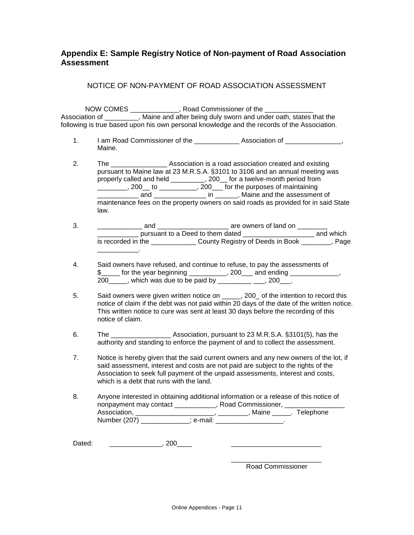# <span id="page-10-0"></span>**Appendix E: Sample Registry Notice of Non-payment of Road Association Assessment**

## NOTICE OF NON-PAYMENT OF ROAD ASSOCIATION ASSESSMENT

NOW COMES extending a Road Commissioner of the  $\sim$ Association of \_\_\_\_\_\_\_\_\_, Maine and after being duly sworn and under oath, states that the following is true based upon his own personal knowledge and the records of the Association.

- 1. I am Road Commissioner of the \_\_\_\_\_\_\_\_\_\_\_\_\_\_\_ Association of \_\_\_\_\_\_\_\_\_\_ Maine.
- 2. The \_\_\_\_\_\_\_\_\_\_\_\_\_\_\_\_\_\_\_\_\_\_\_ Association is a road association created and existing pursuant to Maine law at 23 M.R.S.A. §3101 to 3106 and an annual meeting was properly called and held \_\_\_\_\_\_\_\_, 200\_for a twelve-month period from  $\frac{1}{200}$ , 200 to  $\frac{1}{200}$ , 200 for the purposes of maintaining \_\_\_\_\_\_\_\_\_\_\_\_ and \_\_\_\_\_\_\_\_\_\_\_\_\_\_\_\_ in \_\_\_\_\_\_\_, Maine and the assessment of maintenance fees on the property owners on said roads as provided for in said State law.
- 3. \_\_\_\_\_\_\_\_\_\_\_\_ and \_\_\_\_\_\_\_\_\_\_\_\_\_\_\_\_\_\_\_ are owners of land on \_\_\_\_\_\_\_\_ pursuant to a Deed to them dated \_\_\_\_\_\_\_\_\_\_\_\_\_\_\_\_\_\_\_\_\_\_\_\_\_ and which is recorded in the \_\_\_\_\_\_\_\_\_\_\_\_ County Registry of Deeds in Book \_\_\_\_\_\_\_\_, Page \_\_\_\_\_\_\_\_\_\_\_.
- 4. Said owners have refused, and continue to refuse, to pay the assessments of \$\_\_\_\_\_ for the year beginning \_\_\_\_\_\_\_\_\_\_, 200\_\_\_ and ending \_\_\_\_\_\_\_\_\_\_\_\_\_, 200\_\_\_\_\_, which was due to be paid by \_\_\_\_\_\_\_\_\_ \_\_\_, 200\_\_\_.
- 5. Said owners were given written notice on  $\qquad \qquad , 200$  of the intention to record this notice of claim if the debt was not paid within 20 days of the date of the written notice. This written notice to cure was sent at least 30 days before the recording of this notice of claim.
- 6. The \_\_\_\_\_\_\_\_\_\_\_\_\_\_\_\_ Association, pursuant to 23 M.R.S.A. §3101(5), has the authority and standing to enforce the payment of and to collect the assessment.
- 7. Notice is hereby given that the said current owners and any new owners of the lot, if said assessment, interest and costs are not paid are subject to the rights of the Association to seek full payment of the unpaid assessments, interest and costs, which is a debt that runs with the land.
- 8. Anyone interested in obtaining additional information or a release of this notice of nonpayment may contact \_\_\_\_\_\_\_\_\_\_\_\_, Road Commissioner, \_\_\_\_ Association, \_\_\_\_\_\_\_\_\_\_\_\_\_\_\_\_\_\_\_\_\_\_\_\_, \_\_\_\_\_\_\_\_, Maine \_\_\_\_\_. Telephone Number (207) \_\_\_\_\_\_\_\_\_\_\_\_\_; e-mail:

Dated: \_\_\_\_\_\_\_\_\_\_\_\_\_\_\_\_\_\_\_\_\_, 200\_\_\_\_\_\_

\_\_\_\_\_\_\_\_\_\_\_\_\_\_\_\_\_\_\_\_\_\_\_\_ Road Commissioner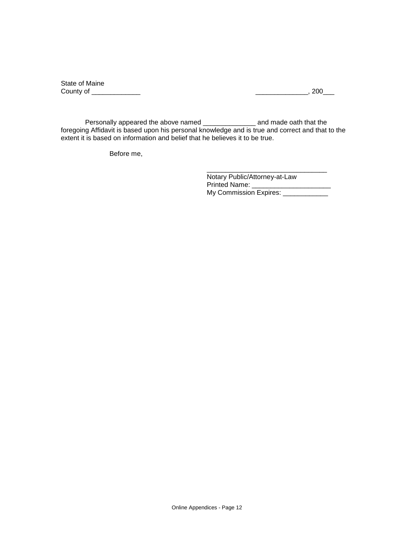State of Maine<br>County of \_\_\_\_\_\_\_\_\_\_\_\_\_\_\_

 $\frac{1}{\sqrt{2\pi}}$  , 200 $\frac{1}{\sqrt{2\pi}}$ 

Personally appeared the above named \_\_\_\_\_\_\_\_\_\_\_\_\_\_\_\_ and made oath that the foregoing Affidavit is based upon his personal knowledge and is true and correct and that to the extent it is based on information and belief that he believes it to be true.

Before me,

Notary Public/Attorney-at-Law Printed Name: \_\_\_\_\_\_\_\_\_\_\_\_\_\_\_\_\_\_\_\_\_ My Commission Expires: \_\_\_\_\_\_\_\_\_\_\_\_\_

\_\_\_\_\_\_\_\_\_\_\_\_\_\_\_\_\_\_\_\_\_\_\_\_\_\_\_\_\_\_\_\_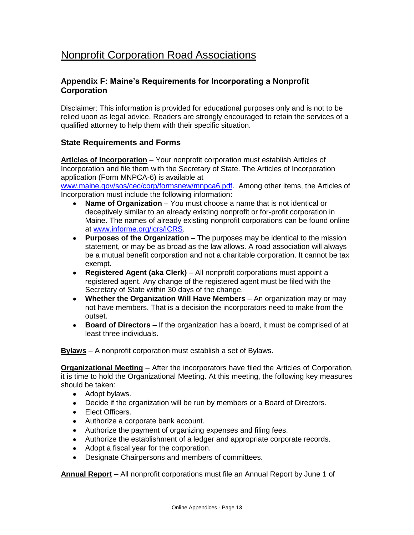# <span id="page-12-0"></span>Nonprofit Corporation Road Associations

# <span id="page-12-1"></span>**Appendix F: Maine's Requirements for Incorporating a Nonprofit Corporation**

Disclaimer: This information is provided for educational purposes only and is not to be relied upon as legal advice. Readers are strongly encouraged to retain the services of a qualified attorney to help them with their specific situation.

# **State Requirements and Forms**

**Articles of Incorporation** – Your nonprofit corporation must establish Articles of Incorporation and file them with the Secretary of State. The Articles of Incorporation application (Form MNPCA-6) is available at

[www.maine.gov/sos/cec/corp/formsnew/mnpca6.pdf.](http://www.maine.gov/sos/cec/corp/formsnew/mnpca6.pdf) Among other items, the Articles of Incorporation must include the following information:

- **Name of Organization** You must choose a name that is not identical or deceptively similar to an already existing nonprofit or for-profit corporation in Maine. The names of already existing nonprofit corporations can be found online at [www.informe.org/icrs/ICRS.](http://www.informe.org/icrs/ICRS)
- **Purposes of the Organization** The purposes may be identical to the mission statement, or may be as broad as the law allows. A road association will always be a mutual benefit corporation and not a charitable corporation. It cannot be tax exempt.
- **Registered Agent (aka Clerk)** All nonprofit corporations must appoint a registered agent. Any change of the registered agent must be filed with the Secretary of State within 30 days of the change.
- **Whether the Organization Will Have Members** An organization may or may not have members. That is a decision the incorporators need to make from the outset.
- **Board of Directors** If the organization has a board, it must be comprised of at least three individuals.

**Bylaws** – A nonprofit corporation must establish a set of Bylaws.

**Organizational Meeting** – After the incorporators have filed the Articles of Corporation, it is time to hold the Organizational Meeting. At this meeting, the following key measures should be taken:

- Adopt bylaws.
- Decide if the organization will be run by members or a Board of Directors.
- Elect Officers.
- Authorize a corporate bank account.
- Authorize the payment of organizing expenses and filing fees.
- Authorize the establishment of a ledger and appropriate corporate records.
- Adopt a fiscal year for the corporation.
- Designate Chairpersons and members of committees.

**Annual Report** – All nonprofit corporations must file an Annual Report by June 1 of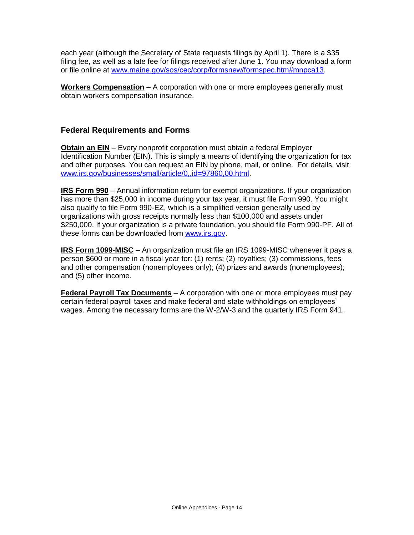each year (although the Secretary of State requests filings by April 1). There is a \$35 filing fee, as well as a late fee for filings received after June 1. You may download a form or file online at [www.maine.gov/sos/cec/corp/formsnew/formspec.htm#mnpca13.](http://www.maine.gov/sos/cec/corp/formsnew/formspec.htm#mnpca13)

**Workers Compensation** – A corporation with one or more employees generally must obtain workers compensation insurance.

# **Federal Requirements and Forms**

**Obtain an EIN** – Every nonprofit corporation must obtain a federal Employer Identification Number (EIN). This is simply a means of identifying the organization for tax and other purposes. You can request an EIN by phone, mail, or online. For details, visit [www.irs.gov/businesses/small/article/0,,id=97860,00.html.](http://www.irs.gov/businesses/small/article/0,,id=97860,00.html)

**IRS Form 990** – Annual information return for exempt organizations. If your organization has more than \$25,000 in income during your tax year, it must file Form 990. You might also qualify to file Form 990-EZ, which is a simplified version generally used by organizations with gross receipts normally less than \$100,000 and assets under \$250,000. If your organization is a private foundation, you should file Form 990-PF. All of these forms can be downloaded from [www.irs.gov.](http://www.irs.gov/)

**IRS Form 1099-MISC** – An organization must file an IRS 1099-MISC whenever it pays a person \$600 or more in a fiscal year for: (1) rents; (2) royalties; (3) commissions, fees and other compensation (nonemployees only); (4) prizes and awards (nonemployees); and (5) other income.

**Federal Payroll Tax Documents** – A corporation with one or more employees must pay certain federal payroll taxes and make federal and state withholdings on employees' wages. Among the necessary forms are the W-2/W-3 and the quarterly IRS Form 941.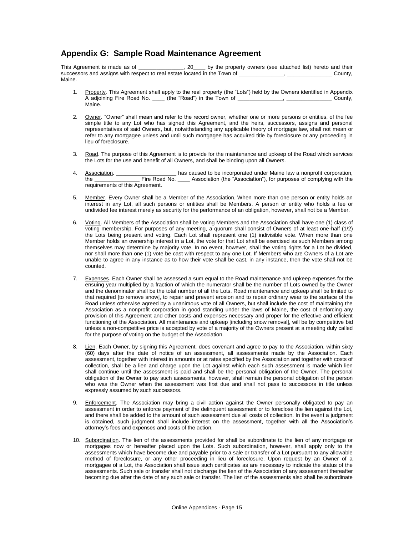# <span id="page-14-0"></span>**Appendix G: Sample Road Maintenance Agreement**

This Agreement is made as of \_\_\_\_\_\_\_\_\_\_\_\_, 20\_\_\_\_ by the property owners (see attached list) hereto and their successors and assigns with respect to real estate located in the Town of \_\_\_\_\_\_\_\_\_\_\_\_\_, \_\_\_\_\_\_\_\_\_\_\_\_\_\_\_\_\_\_County, Maine.

- 1. Property. This Agreement shall apply to the real property (the "Lots") held by the Owners identified in Appendix A adjoining Fire Road No. \_\_\_\_ (the "Road") in the Town of \_\_\_\_\_\_\_\_\_\_\_\_\_\_\_, \_\_\_\_\_\_\_\_\_\_\_\_\_\_\_ County, Maine.
- 2. Owner. "Owner" shall mean and refer to the record owner, whether one or more persons or entities, of the fee simple title to any Lot who has signed this Agreement, and the heirs, successors, assigns and personal representatives of said Owners, but, notwithstanding any applicable theory of mortgage law, shall not mean or refer to any mortgagee unless and until such mortgagee has acquired title by foreclosure or any proceeding in lieu of foreclosure.
- 3. Road. The purpose of this Agreement is to provide for the maintenance and upkeep of the Road which services the Lots for the use and benefit of all Owners, and shall be binding upon all Owners.
- 4. Association. \_\_\_\_\_\_\_\_\_\_\_\_\_\_\_\_\_\_\_\_\_\_\_ has caused to be incorporated under Maine law a nonprofit corporation,<br>the corresponding with the Sesociation (the "Association"), for purposes of complying with the Fire Road No. \_\_\_\_\_\_ Association (the "Association"), for purposes of complying with the requirements of this Agreement.
- 5. Member. Every Owner shall be a Member of the Association. When more than one person or entity holds an interest in any Lot, all such persons or entities shall be Members. A person or entity who holds a fee or undivided fee interest merely as security for the performance of an obligation, however, shall not be a Member.
- 6. Voting. All Members of the Association shall be voting Members and the Association shall have one (1) class of voting membership. For purposes of any meeting, a quorum shall consist of Owners of at least one-half (1/2) the Lots being present and voting. Each Lot shall represent one (1) indivisible vote. When more than one Member holds an ownership interest in a Lot, the vote for that Lot shall be exercised as such Members among themselves may determine by majority vote. In no event, however, shall the voting rights for a Lot be divided, nor shall more than one (1) vote be cast with respect to any one Lot. If Members who are Owners of a Lot are unable to agree in any instance as to how their vote shall be cast, in any instance, then the vote shall not be counted.
- 7. Expenses. Each Owner shall be assessed a sum equal to the Road maintenance and upkeep expenses for the ensuing year multiplied by a fraction of which the numerator shall be the number of Lots owned by the Owner and the denominator shall be the total number of all the Lots. Road maintenance and upkeep shall be limited to that required [to remove snow], to repair and prevent erosion and to repair ordinary wear to the surface of the Road unless otherwise agreed by a unanimous vote of all Owners, but shall include the cost of maintaining the Association as a nonprofit corporation in good standing under the laws of Maine, the cost of enforcing any provision of this Agreement and other costs and expenses necessary and proper for the effective and efficient functioning of the Association. All maintenance and upkeep [including snow removal], will be by competitive bid unless a non-competitive price is accepted by vote of a majority of the Owners present at a meeting duly called for the purpose of voting on the budget of the Association.
- 8. Lien. Each Owner, by signing this Agreement, does covenant and agree to pay to the Association, within sixty (60) days after the date of notice of an assessment, all assessments made by the Association. Each assessment, together with interest in amounts or at rates specified by the Association and together with costs of collection, shall be a lien and charge upon the Lot against which each such assessment is made which lien shall continue until the assessment is paid and shall be the personal obligation of the Owner. The personal obligation of the Owner to pay such assessments, however, shall remain the personal obligation of the person who was the Owner when the assessment was first due and shall not pass to successors in title unless expressly assumed by such successors.
- 9. Enforcement. The Association may bring a civil action against the Owner personally obligated to pay an assessment in order to enforce payment of the delinquent assessment or to foreclose the lien against the Lot, and there shall be added to the amount of such assessment due all costs of collection. In the event a judgment is obtained, such judgment shall include interest on the assessment, together with all the Association's attorney's fees and expenses and costs of the action.
- 10. Subordination. The lien of the assessments provided for shall be subordinate to the lien of any mortgage or mortgages now or hereafter placed upon the Lots. Such subordination, however, shall apply only to the assessments which have become due and payable prior to a sale or transfer of a Lot pursuant to any allowable method of foreclosure, or any other proceeding in lieu of foreclosure. Upon request by an Owner of a mortgagee of a Lot, the Association shall issue such certificates as are necessary to indicate the status of the assessments. Such sale or transfer shall not discharge the lien of the Association of any assessment thereafter becoming due after the date of any such sale or transfer. The lien of the assessments also shall be subordinate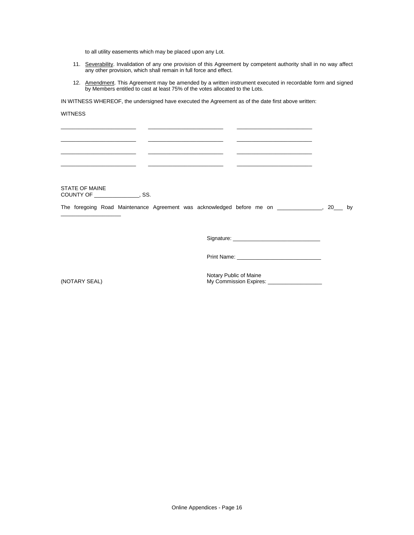to all utility easements which may be placed upon any Lot.

- 11. Severability. Invalidation of any one provision of this Agreement by competent authority shall in no way affect any other provision, which shall remain in full force and effect.
- 12. Amendment. This Agreement may be amended by a written instrument executed in recordable form and signed by Members entitled to cast at least 75% of the votes allocated to the Lots.

IN WITNESS WHEREOF, the undersigned have executed the Agreement as of the date first above written:

\_\_\_\_\_\_\_\_\_\_\_\_\_\_\_\_\_\_\_\_\_\_\_\_\_ \_\_\_\_\_\_\_\_\_\_\_\_\_\_\_\_\_\_\_\_\_\_\_\_\_ \_\_\_\_\_\_\_\_\_\_\_\_\_\_\_\_\_\_\_\_\_\_\_\_\_ \_\_\_\_\_\_\_\_\_\_\_\_\_\_\_\_\_\_\_\_\_\_\_\_\_ \_\_\_\_\_\_\_\_\_\_\_\_\_\_\_\_\_\_\_\_\_\_\_\_\_ \_\_\_\_\_\_\_\_\_\_\_\_\_\_\_\_\_\_\_\_\_\_\_\_\_ \_\_\_\_\_\_\_\_\_\_\_\_\_\_\_\_\_\_\_\_\_\_\_\_\_ \_\_\_\_\_\_\_\_\_\_\_\_\_\_\_\_\_\_\_\_\_\_\_\_\_ \_\_\_\_\_\_\_\_\_\_\_\_\_\_\_\_\_\_\_\_\_\_\_\_\_ \_\_\_\_\_\_\_\_\_\_\_\_\_\_\_\_\_\_\_\_\_\_\_\_\_ \_\_\_\_\_\_\_\_\_\_\_\_\_\_\_\_\_\_\_\_\_\_\_\_\_ \_\_\_\_\_\_\_\_\_\_\_\_\_\_\_\_\_\_\_\_\_\_\_\_\_

#### WITNESS

STATE OF MAINE COUNTY OF \_\_\_\_\_\_\_\_\_\_\_\_\_\_\_, SS.

\_\_\_\_\_\_\_\_\_\_\_\_\_\_\_\_\_\_\_\_

The foregoing Road Maintenance Agreement was acknowledged before me on \_\_\_\_\_\_\_\_\_\_\_\_\_, 20\_\_\_ by

Signature: \_\_\_\_\_\_\_\_\_\_\_\_\_\_\_\_\_\_\_\_\_\_\_\_\_\_\_\_\_

Print Name: \_\_\_\_\_\_\_\_\_\_\_\_\_\_\_\_\_\_\_\_\_\_\_\_\_\_\_\_

Notary Public of Maine (NOTARY SEAL) My Commission Expires: \_\_\_\_\_\_\_\_\_\_\_\_\_\_\_\_\_\_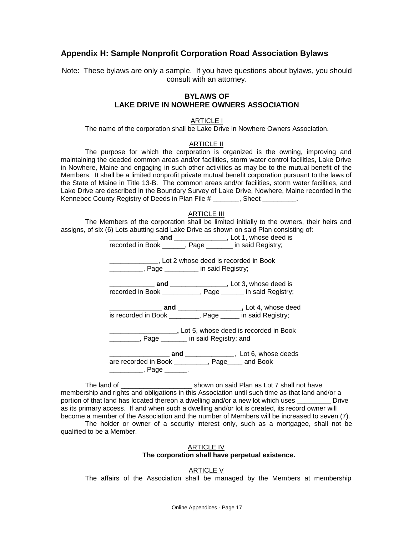# <span id="page-16-0"></span>**Appendix H: Sample Nonprofit Corporation Road Association Bylaws**

Note: These bylaws are only a sample. If you have questions about bylaws, you should consult with an attorney.

## **BYLAWS OF LAKE DRIVE IN NOWHERE OWNERS ASSOCIATION**

#### ARTICLE I

The name of the corporation shall be Lake Drive in Nowhere Owners Association.

## ARTICLE II

The purpose for which the corporation is organized is the owning, improving and maintaining the deeded common areas and/or facilities, storm water control facilities, Lake Drive in Nowhere, Maine and engaging in such other activities as may be to the mutual benefit of the Members. It shall be a limited nonprofit private mutual benefit corporation pursuant to the laws of the State of Maine in Title 13-B. The common areas and/or facilities, storm water facilities, and Lake Drive are described in the Boundary Survey of Lake Drive, Nowhere, Maine recorded in the Kennebec County Registry of Deeds in Plan File # \_\_\_\_\_\_, Sheet \_\_\_\_\_\_\_.

#### ARTICLE III

The Members of the corporation shall be limited initially to the owners, their heirs and assigns, of six (6) Lots abutting said Lake Drive as shown on said Plan consisting of:

|                                                           | <b>example 20 and ________________</b> , Lot 1, whose deed is   |
|-----------------------------------------------------------|-----------------------------------------------------------------|
| recorded in Book ______, Page ______ in said Registry;    |                                                                 |
| Lot 2 whose deed is recorded in Book                      |                                                                 |
| ___________, Page _________ in said Registry;             |                                                                 |
|                                                           | ____________ <b>and</b> _________________, Lot 3, whose deed is |
| recorded in Book __________, Page _____ in said Registry; |                                                                 |
|                                                           | ____________ and ____________________, Lot 4, whose deed        |
| is recorded in Book ________, Page ____ in said Registry; |                                                                 |
|                                                           | Lot 5, whose deed is recorded in Book                           |
| Fage in said Registry; and                                |                                                                 |
|                                                           |                                                                 |
| are recorded in Book _________, Page____ and Book         |                                                                 |
| ____________, Page ________.                              |                                                                 |

The land of \_\_\_\_\_\_\_\_\_\_\_\_\_\_\_\_\_\_\_ shown on said Plan as Lot 7 shall not have membership and rights and obligations in this Association until such time as that land and/or a portion of that land has located thereon a dwelling and/or a new lot which uses \_\_\_\_\_\_\_\_\_ Drive as its primary access. If and when such a dwelling and/or lot is created, its record owner will become a member of the Association and the number of Members will be increased to seven (7).

The holder or owner of a security interest only, such as a mortgagee, shall not be qualified to be a Member.

## ARTICLE IV **The corporation shall have perpetual existence.**

#### ARTICLE V

The affairs of the Association shall be managed by the Members at membership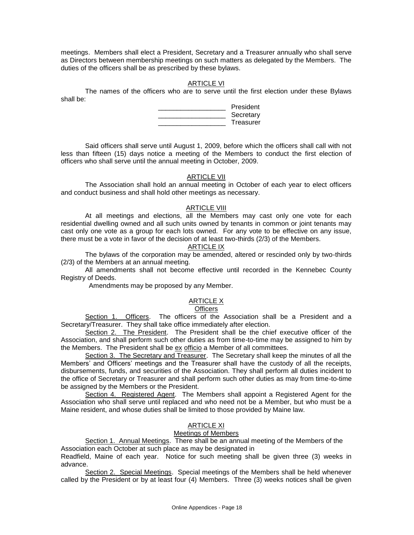meetings. Members shall elect a President, Secretary and a Treasurer annually who shall serve as Directors between membership meetings on such matters as delegated by the Members. The duties of the officers shall be as prescribed by these bylaws.

## ARTICLE VI

The names of the officers who are to serve until the first election under these Bylaws shall be:

| President |
|-----------|
| Secretary |
| Treasurer |

Said officers shall serve until August 1, 2009, before which the officers shall call with not less than fifteen (15) days notice a meeting of the Members to conduct the first election of officers who shall serve until the annual meeting in October, 2009.

## ARTICLE VII

The Association shall hold an annual meeting in October of each year to elect officers and conduct business and shall hold other meetings as necessary.

#### ARTICLE VIII

At all meetings and elections, all the Members may cast only one vote for each residential dwelling owned and all such units owned by tenants in common or joint tenants may cast only one vote as a group for each lots owned. For any vote to be effective on any issue, there must be a vote in favor of the decision of at least two-thirds (2/3) of the Members.

### ARTICLE IX

The bylaws of the corporation may be amended, altered or rescinded only by two-thirds (2/3) of the Members at an annual meeting.

All amendments shall not become effective until recorded in the Kennebec County Registry of Deeds.

Amendments may be proposed by any Member.

# ARTICLE X

#### **Officers**

Section 1. Officers. The officers of the Association shall be a President and a Secretary/Treasurer. They shall take office immediately after election.

Section 2. The President. The President shall be the chief executive officer of the Association, and shall perform such other duties as from time-to-time may be assigned to him by the Members. The President shall be ex officio a Member of all committees.

Section 3. The Secretary and Treasurer. The Secretary shall keep the minutes of all the Members' and Officers' meetings and the Treasurer shall have the custody of all the receipts, disbursements, funds, and securities of the Association. They shall perform all duties incident to the office of Secretary or Treasurer and shall perform such other duties as may from time-to-time be assigned by the Members or the President.

Section 4. Registered Agent. The Members shall appoint a Registered Agent for the Association who shall serve until replaced and who need not be a Member, but who must be a Maine resident, and whose duties shall be limited to those provided by Maine law.

## ARTICLE XI

## Meetings of Members

Section 1. Annual Meetings. There shall be an annual meeting of the Members of the Association each October at such place as may be designated in

Readfield, Maine of each year. Notice for such meeting shall be given three (3) weeks in advance.

Section 2. Special Meetings. Special meetings of the Members shall be held whenever called by the President or by at least four (4) Members. Three (3) weeks notices shall be given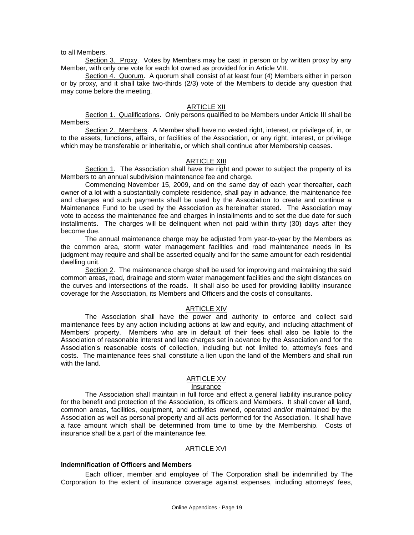to all Members.

Section 3. Proxy. Votes by Members may be cast in person or by written proxy by any Member, with only one vote for each lot owned as provided for in Article VIII.

Section 4. Quorum. A quorum shall consist of at least four (4) Members either in person or by proxy, and it shall take two-thirds (2/3) vote of the Members to decide any question that may come before the meeting.

## ARTICLE XII

Section 1. Qualifications. Only persons qualified to be Members under Article III shall be Members.

Section 2. Members. A Member shall have no vested right, interest, or privilege of, in, or to the assets, functions, affairs, or facilities of the Association, or any right, interest, or privilege which may be transferable or inheritable, or which shall continue after Membership ceases.

### ARTICLE XIII

Section 1. The Association shall have the right and power to subject the property of its Members to an annual subdivision maintenance fee and charge.

Commencing November 15, 2009, and on the same day of each year thereafter, each owner of a lot with a substantially complete residence, shall pay in advance, the maintenance fee and charges and such payments shall be used by the Association to create and continue a Maintenance Fund to be used by the Association as hereinafter stated. The Association may vote to access the maintenance fee and charges in installments and to set the due date for such installments. The charges will be delinquent when not paid within thirty (30) days after they become due.

The annual maintenance charge may be adjusted from year-to-year by the Members as the common area, storm water management facilities and road maintenance needs in its judgment may require and shall be asserted equally and for the same amount for each residential dwelling unit.

Section 2. The maintenance charge shall be used for improving and maintaining the said common areas, road, drainage and storm water management facilities and the sight distances on the curves and intersections of the roads. It shall also be used for providing liability insurance coverage for the Association, its Members and Officers and the costs of consultants.

#### ARTICLE XIV

The Association shall have the power and authority to enforce and collect said maintenance fees by any action including actions at law and equity, and including attachment of Members' property. Members who are in default of their fees shall also be liable to the Association of reasonable interest and late charges set in advance by the Association and for the Association's reasonable costs of collection, including but not limited to, attorney's fees and costs. The maintenance fees shall constitute a lien upon the land of the Members and shall run with the land.

#### ARTICLE XV

#### Insurance

The Association shall maintain in full force and effect a general liability insurance policy for the benefit and protection of the Association, its officers and Members. It shall cover all land, common areas, facilities, equipment, and activities owned, operated and/or maintained by the Association as well as personal property and all acts performed for the Association. It shall have a face amount which shall be determined from time to time by the Membership. Costs of insurance shall be a part of the maintenance fee.

#### ARTICLE XVI

#### **Indemnification of Officers and Members**

Each officer, member and employee of The Corporation shall be indemnified by The Corporation to the extent of insurance coverage against expenses, including attorneys' fees,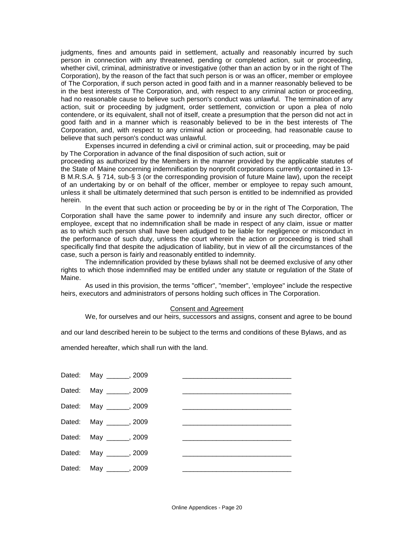judgments, fines and amounts paid in settlement, actually and reasonably incurred by such person in connection with any threatened, pending or completed action, suit or proceeding, whether civil, criminal, administrative or investigative (other than an action by or in the right of The Corporation), by the reason of the fact that such person is or was an officer, member or employee of The Corporation, if such person acted in good faith and in a manner reasonably believed to be in the best interests of The Corporation, and, with respect to any criminal action or proceeding, had no reasonable cause to believe such person's conduct was unlawful. The termination of any action, suit or proceeding by judgment, order settlement, conviction or upon a plea of nolo contendere, or its equivalent, shall not of itself, create a presumption that the person did not act in good faith and in a manner which is reasonably believed to be in the best interests of The Corporation, and, with respect to any criminal action or proceeding, had reasonable cause to believe that such person's conduct was unlawful.

Expenses incurred in defending a civil or criminal action, suit or proceeding, may be paid by The Corporation in advance of the final disposition of such action, suit or

proceeding as authorized by the Members in the manner provided by the applicable statutes of the State of Maine concerning indemnification by nonprofit corporations currently contained in 13- B M.R.S.A. § 714, sub-§ 3 (or the corresponding provision of future Maine law), upon the receipt of an undertaking by or on behalf of the officer, member or employee to repay such amount, unless it shall be ultimately determined that such person is entitled to be indemnified as provided herein.

In the event that such action or proceeding be by or in the right of The Corporation, The Corporation shall have the same power to indemnify and insure any such director, officer or employee, except that no indemnification shall be made in respect of any claim, issue or matter as to which such person shall have been adjudged to be liable for negligence or misconduct in the performance of such duty, unless the court wherein the action or proceeding is tried shall specifically find that despite the adjudication of liability, but in view of all the circumstances of the case, such a person is fairly and reasonably entitled to indemnity.

The indemnification provided by these bylaws shall not be deemed exclusive of any other rights to which those indemnified may be entitled under any statute or regulation of the State of Maine.

As used in this provision, the terms "officer", "member", 'employee" include the respective heirs, executors and administrators of persons holding such offices in The Corporation.

#### Consent and Agreement

We, for ourselves and our heirs, successors and assigns, consent and agree to be bound

and our land described herein to be subject to the terms and conditions of these Bylaws, and as

amended hereafter, which shall run with the land.

| Dated: May ______, 2009 |  |
|-------------------------|--|
| Dated: May ______, 2009 |  |
| Dated: May ______, 2009 |  |
| Dated: May ______, 2009 |  |
| Dated: May ______, 2009 |  |
| Dated: May ______, 2009 |  |
| Dated: May ______, 2009 |  |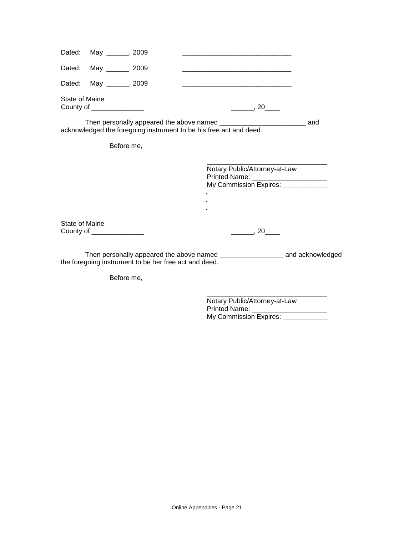|                | Dated: May ______, 2009   |                                                       |                                                                        |  |
|----------------|---------------------------|-------------------------------------------------------|------------------------------------------------------------------------|--|
|                | Dated: May ______, 2009   |                                                       |                                                                        |  |
| Dated:         | May _______, 2009         |                                                       | <u> 1980 - Jan James James Barnett, fransk politik (d. 1980)</u>       |  |
| State of Maine | County of $\frac{1}{1}$   |                                                       | $\frac{1}{\sqrt{2}}$ , 20 $\frac{1}{\sqrt{2}}$                         |  |
|                |                           |                                                       | acknowledged the foregoing instrument to be his free act and deed.     |  |
|                | Before me,                |                                                       |                                                                        |  |
|                |                           |                                                       | Notary Public/Attorney-at-Law<br>Printed Name: _______________________ |  |
|                |                           |                                                       | My Commission Expires: _____________                                   |  |
|                |                           |                                                       |                                                                        |  |
| State of Maine | County of _______________ |                                                       | $\frac{1}{\sqrt{2}}$ , 20                                              |  |
|                |                           | the foregoing instrument to be her free act and deed. |                                                                        |  |

Before me,

Notary Public/Attorney-at-Law Printed Name: \_\_\_\_\_\_\_\_\_\_\_\_\_\_\_\_\_\_\_\_ My Commission Expires: \_\_\_\_\_\_\_\_\_\_\_\_\_

\_\_\_\_\_\_\_\_\_\_\_\_\_\_\_\_\_\_\_\_\_\_\_\_\_\_\_\_\_\_\_\_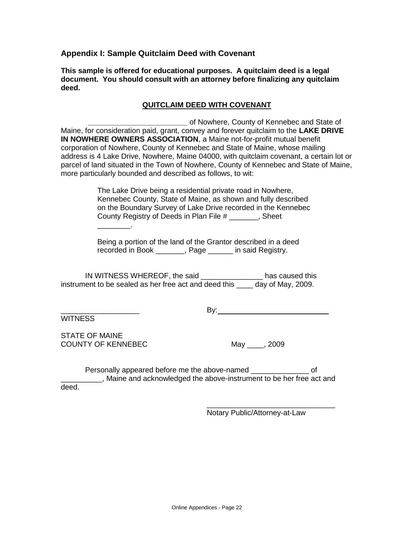<span id="page-21-0"></span>**Appendix I: Sample Quitclaim Deed with Covenant**

**This sample is offered for educational purposes. A quitclaim deed is a legal document. You should consult with an attorney before finalizing any quitclaim deed.**

# **QUITCLAIM DEED WITH COVENANT**

**\_\_\_\_\_\_\_\_\_\_\_\_\_\_\_\_\_\_\_\_\_\_\_\_** of Nowhere, County of Kennebec and State of Maine, for consideration paid, grant, convey and forever quitclaim to the **LAKE DRIVE IN NOWHERE OWNERS ASSOCIATION**, a Maine not-for-profit mutual benefit corporation of Nowhere, County of Kennebec and State of Maine, whose mailing address is 4 Lake Drive, Nowhere, Maine 04000, with quitclaim covenant, a certain lot or parcel of land situated in the Town of Nowhere, County of Kennebec and State of Maine, more particularly bounded and described as follows, to wit:

> The Lake Drive being a residential private road in Nowhere, Kennebec County, State of Maine, as shown and fully described on the Boundary Survey of Lake Drive recorded in the Kennebec County Registry of Deeds in Plan File # \_\_\_\_\_\_\_, Sheet

Being a portion of the land of the Grantor described in a deed recorded in Book \_\_\_\_\_\_\_, Page \_\_\_\_\_\_ in said Registry.

IN WITNESS WHEREOF, the said \_\_\_\_\_\_\_\_\_\_\_\_\_\_\_ has caused this instrument to be sealed as her free act and deed this \_\_\_\_ day of May, 2009.

WITNESS

\_\_\_\_\_\_\_\_\_\_\_\_\_\_\_\_\_\_\_ By:

STATE OF MAINE COUNTY OF KENNEBEC May 1, 2009

\_\_\_\_\_\_\_\_.

Personally appeared before me the above-named  $\qquad \qquad$  of **Maine and acknowledged the above-instrument to be her free act and** deed.

Notary Public/Attorney-at-Law

\_\_\_\_\_\_\_\_\_\_\_\_\_\_\_\_\_\_\_\_\_\_\_\_\_\_\_\_\_\_\_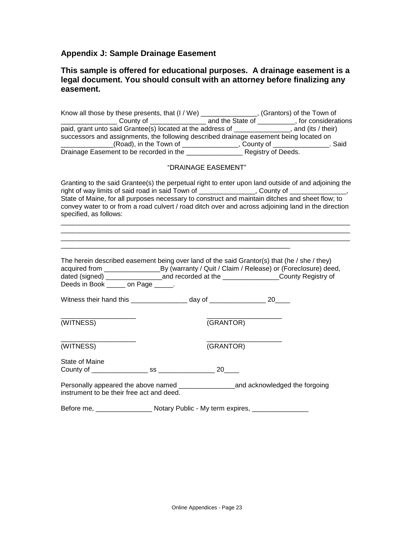# <span id="page-22-0"></span>**Appendix J: Sample Drainage Easement**

# **This sample is offered for educational purposes. A drainage easement is a legal document. You should consult with an attorney before finalizing any easement.**

| paid, grant unto said Grantee(s) located at the address of ______________, and (its / their)<br>successors and assignments, the following described drainage easement being located on                                                                                                                                                                                                                                                  |                     |  |
|-----------------------------------------------------------------------------------------------------------------------------------------------------------------------------------------------------------------------------------------------------------------------------------------------------------------------------------------------------------------------------------------------------------------------------------------|---------------------|--|
| (Road), in the Town of County of County of County of Countingle Easement to be recorded in the County Registry of Deeds.                                                                                                                                                                                                                                                                                                                |                     |  |
|                                                                                                                                                                                                                                                                                                                                                                                                                                         | "DRAINAGE EASEMENT" |  |
| Granting to the said Grantee(s) the perpetual right to enter upon land outside of and adjoining the<br>right of way limits of said road in said Town of ________________, County of ______________,<br>State of Maine, for all purposes necessary to construct and maintain ditches and sheet flow; to<br>convey water to or from a road culvert / road ditch over and across adjoining land in the direction<br>specified, as follows: |                     |  |
| The herein described easement being over land of the said Grantor(s) that (he / she / they)<br>acquired from _________________________________By (warranty / Quit / Claim / Release) or (Foreclosure) deed,<br>dated (signed) ________________________and recorded at the ___________________County Registry of<br>Deeds in Book ______ on Page _____.                                                                                  |                     |  |
| Witness their hand this _________________ day of __________________ 20____                                                                                                                                                                                                                                                                                                                                                              |                     |  |
| (WITNESS)                                                                                                                                                                                                                                                                                                                                                                                                                               | (GRANTOR)           |  |
| (WITNESS)                                                                                                                                                                                                                                                                                                                                                                                                                               | (GRANTOR)           |  |
| State of Maine                                                                                                                                                                                                                                                                                                                                                                                                                          |                     |  |
| Personally appeared the above named ____________________and acknowledged the forgoing<br>instrument to be their free act and deed.                                                                                                                                                                                                                                                                                                      |                     |  |
| Before me, ____________________ Notary Public - My term expires, _______________                                                                                                                                                                                                                                                                                                                                                        |                     |  |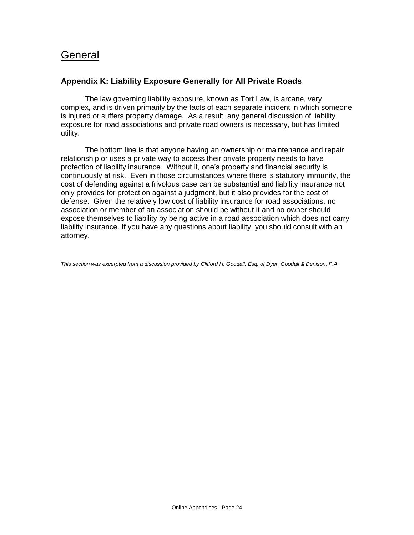# <span id="page-23-0"></span>**General**

# <span id="page-23-1"></span>**Appendix K: Liability Exposure Generally for All Private Roads**

The law governing liability exposure, known as Tort Law, is arcane, very complex, and is driven primarily by the facts of each separate incident in which someone is injured or suffers property damage. As a result, any general discussion of liability exposure for road associations and private road owners is necessary, but has limited utility.

The bottom line is that anyone having an ownership or maintenance and repair relationship or uses a private way to access their private property needs to have protection of liability insurance. Without it, one's property and financial security is continuously at risk. Even in those circumstances where there is statutory immunity, the cost of defending against a frivolous case can be substantial and liability insurance not only provides for protection against a judgment, but it also provides for the cost of defense. Given the relatively low cost of liability insurance for road associations, no association or member of an association should be without it and no owner should expose themselves to liability by being active in a road association which does not carry liability insurance. If you have any questions about liability, you should consult with an attorney.

*This section was excerpted from a discussion provided by Clifford H. Goodall, Esq. of Dyer, Goodall & Denison, P.A.*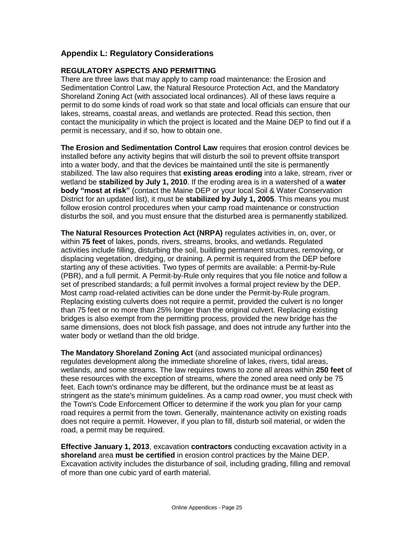# <span id="page-24-0"></span>**Appendix L: Regulatory Considerations**

# **REGULATORY ASPECTS AND PERMITTING**

There are three laws that may apply to camp road maintenance: the Erosion and Sedimentation Control Law, the Natural Resource Protection Act, and the Mandatory Shoreland Zoning Act (with associated local ordinances). All of these laws require a permit to do some kinds of road work so that state and local officials can ensure that our lakes, streams, coastal areas, and wetlands are protected. Read this section, then contact the municipality in which the project is located and the Maine DEP to find out if a permit is necessary, and if so, how to obtain one.

**The Erosion and Sedimentation Control Law** requires that erosion control devices be installed before any activity begins that will disturb the soil to prevent offsite transport into a water body, and that the devices be maintained until the site is permanently stabilized. The law also requires that **existing areas eroding** into a lake, stream, river or wetland be **stabilized by July 1, 2010**. If the eroding area is in a watershed of a **water body "most at risk"** (contact the Maine DEP or your local Soil & Water Conservation District for an updated list), it must be **stabilized by July 1, 2005**. This means you must follow erosion control procedures when your camp road maintenance or construction disturbs the soil, and you must ensure that the disturbed area is permanently stabilized.

**The Natural Resources Protection Act (NRPA)** regulates activities in, on, over, or within **75 feet** of lakes, ponds, rivers, streams, brooks, and wetlands. Regulated activities include filling, disturbing the soil, building permanent structures, removing, or displacing vegetation, dredging, or draining. A permit is required from the DEP before starting any of these activities. Two types of permits are available: a Permit-by-Rule (PBR), and a full permit. A Permit-by-Rule only requires that you file notice and follow a set of prescribed standards; a full permit involves a formal project review by the DEP. Most camp road-related activities can be done under the Permit-by-Rule program. Replacing existing culverts does not require a permit, provided the culvert is no longer than 75 feet or no more than 25% longer than the original culvert. Replacing existing bridges is also exempt from the permitting process, provided the new bridge has the same dimensions, does not block fish passage, and does not intrude any further into the water body or wetland than the old bridge.

**The Mandatory Shoreland Zoning Act** (and associated municipal ordinances) regulates development along the immediate shoreline of lakes, rivers, tidal areas, wetlands, and some streams. The law requires towns to zone all areas within **250 feet** of these resources with the exception of streams, where the zoned area need only be 75 feet. Each town's ordinance may be different, but the ordinance must be at least as stringent as the state's minimum guidelines. As a camp road owner, you must check with the Town's Code Enforcement Officer to determine if the work you plan for your camp road requires a permit from the town. Generally, maintenance activity on existing roads does not require a permit. However, if you plan to fill, disturb soil material, or widen the road, a permit may be required.

**Effective January 1, 2013**, excavation **contractors** conducting excavation activity in a **shoreland** area **must be certified** in erosion control practices by the Maine DEP. Excavation activity includes the disturbance of soil, including grading, filling and removal of more than one cubic yard of earth material.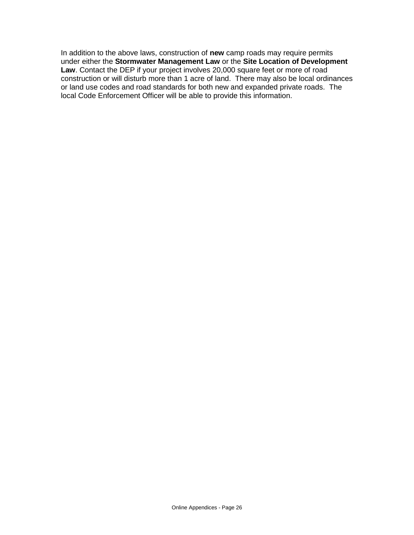In addition to the above laws, construction of **new** camp roads may require permits under either the **Stormwater Management Law** or the **Site Location of Development Law**. Contact the DEP if your project involves 20,000 square feet or more of road construction or will disturb more than 1 acre of land. There may also be local ordinances or land use codes and road standards for both new and expanded private roads. The local Code Enforcement Officer will be able to provide this information.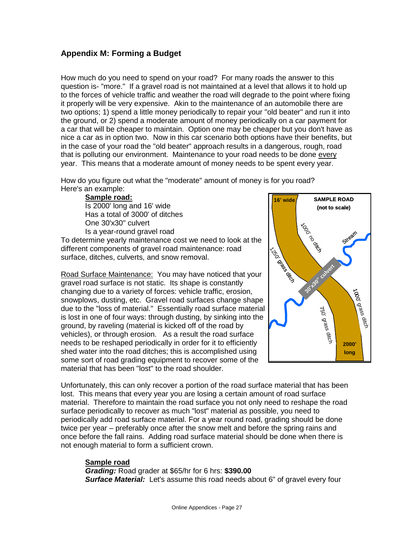# <span id="page-26-0"></span>**Appendix M: Forming a Budget**

How much do you need to spend on your road? For many roads the answer to this question is- "more." If a gravel road is not maintained at a level that allows it to hold up to the forces of vehicle traffic and weather the road will degrade to the point where fixing it properly will be very expensive. Akin to the maintenance of an automobile there are two options; 1) spend a little money periodically to repair your "old beater" and run it into the ground, or 2) spend a moderate amount of money periodically on a car payment for a car that will be cheaper to maintain. Option one may be cheaper but you don't have as nice a car as in option two. Now in this car scenario both options have their benefits, but in the case of your road the "old beater" approach results in a dangerous, rough, road that is polluting our environment. Maintenance to your road needs to be done every year. This means that a moderate amount of money needs to be spent every year.

How do you figure out what the "moderate" amount of money is for you road? Here's an example:

**Sample road:** Is 2000' long and 16' wide Has a total of 3000' of ditches One 30'x30" culvert Is a year-round gravel road

To determine yearly maintenance cost we need to look at the different components of gravel road maintenance: road surface, ditches, culverts, and snow removal.

Road Surface Maintenance:You may have noticed that your gravel road surface is not static. Its shape is constantly changing due to a variety of forces: vehicle traffic, erosion, snowplows, dusting, etc. Gravel road surfaces change shape due to the "loss of material." Essentially road surface material is lost in one of four ways: through dusting, by sinking into the ground, by raveling (material is kicked off of the road by vehicles), or through erosion. As a result the road surface needs to be reshaped periodically in order for it to efficiently shed water into the road ditches; this is accomplished using some sort of road grading equipment to recover some of the material that has been "lost" to the road shoulder.



Unfortunately, this can only recover a portion of the road surface material that has been lost. This means that every year you are losing a certain amount of road surface material. Therefore to maintain the road surface you not only need to reshape the road surface periodically to recover as much "lost" material as possible, you need to periodically add road surface material. For a year round road, grading should be done twice per year – preferably once after the snow melt and before the spring rains and once before the fall rains. Adding road surface material should be done when there is not enough material to form a sufficient crown.

# **Sample road**

*Grading:* Road grader at \$65/hr for 6 hrs: **\$390.00 Surface Material:** Let's assume this road needs about 6" of gravel every four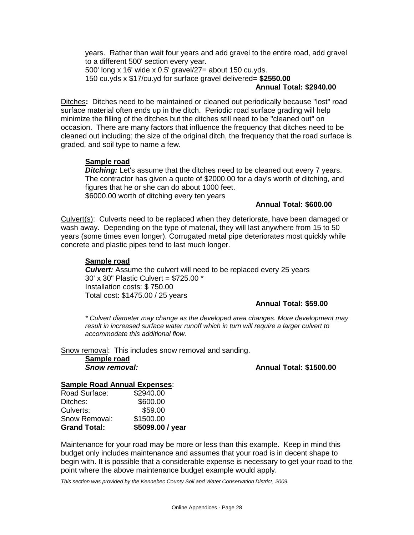years. Rather than wait four years and add gravel to the entire road, add gravel to a different 500' section every year. 500' long x 16' wide x 0.5' gravel/27= about 150 cu.yds. 150 cu.yds x \$17/cu.yd for surface gravel delivered= **\$2550.00**

## **Annual Total: \$2940.00**

Ditches**:** Ditches need to be maintained or cleaned out periodically because "lost" road surface material often ends up in the ditch. Periodic road surface grading will help minimize the filling of the ditches but the ditches still need to be "cleaned out" on occasion. There are many factors that influence the frequency that ditches need to be cleaned out including; the size of the original ditch, the frequency that the road surface is graded, and soil type to name a few.

## **Sample road**

*Ditching:* Let's assume that the ditches need to be cleaned out every 7 years. The contractor has given a quote of \$2000.00 for a day's worth of ditching, and figures that he or she can do about 1000 feet. \$6000.00 worth of ditching every ten years

## **Annual Total: \$600.00**

Culvert(s):Culverts need to be replaced when they deteriorate, have been damaged or wash away. Depending on the type of material, they will last anywhere from 15 to 50 years (some times even longer). Corrugated metal pipe deteriorates most quickly while concrete and plastic pipes tend to last much longer.

## **Sample road**

**Culvert:** Assume the culvert will need to be replaced every 25 years 30' x 30" Plastic Culvert = \$725.00 \* Installation costs: \$ 750.00 Total cost: \$1475.00 / 25 years

## **Annual Total: \$59.00**

*\* Culvert diameter may change as the developed area changes. More development may result in increased surface water runoff which in turn will require a larger culvert to accommodate this additional flow.*

Snow removal: This includes snow removal and sanding.

**Sample road**

*Snow removal:* **Annual Total: \$1500.00**

## **Sample Road Annual Expenses**:

| <b>Grand Total:</b> | \$5099.00 / year |
|---------------------|------------------|
| Snow Removal:       | \$1500.00        |
| Culverts:           | \$59.00          |
| Ditches:            | \$600.00         |
| Road Surface:       | \$2940.00        |

Maintenance for your road may be more or less than this example. Keep in mind this budget only includes maintenance and assumes that your road is in decent shape to begin with. It is possible that a considerable expense is necessary to get your road to the point where the above maintenance budget example would apply.

*This section was provided by the Kennebec County Soil and Water Conservation District, 2009.*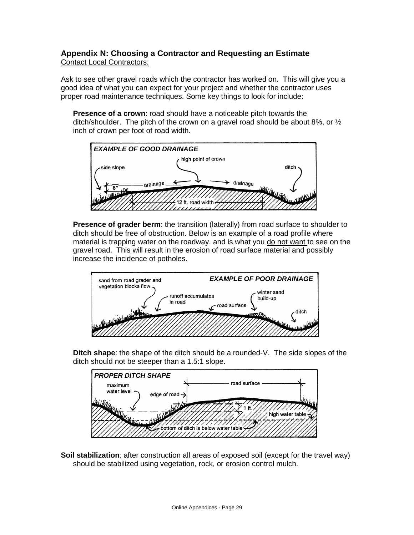# <span id="page-28-0"></span>**Appendix N: Choosing a Contractor and Requesting an Estimate** Contact Local Contractors:

Ask to see other gravel roads which the contractor has worked on. This will give you a good idea of what you can expect for your project and whether the contractor uses proper road maintenance techniques. Some key things to look for include:

**Presence of a crown**: road should have a noticeable pitch towards the ditch/shoulder. The pitch of the crown on a gravel road should be about 8%, or ½ inch of crown per foot of road width.



**Presence of grader berm**: the transition (laterally) from road surface to shoulder to ditch should be free of obstruction. Below is an example of a road profile where material is trapping water on the roadway, and is what you do not want to see on the gravel road. This will result in the erosion of road surface material and possibly increase the incidence of potholes.



**Ditch shape**: the shape of the ditch should be a rounded-V. The side slopes of the ditch should not be steeper than a 1.5:1 slope.



**Soil stabilization**: after construction all areas of exposed soil (except for the travel way) should be stabilized using vegetation, rock, or erosion control mulch.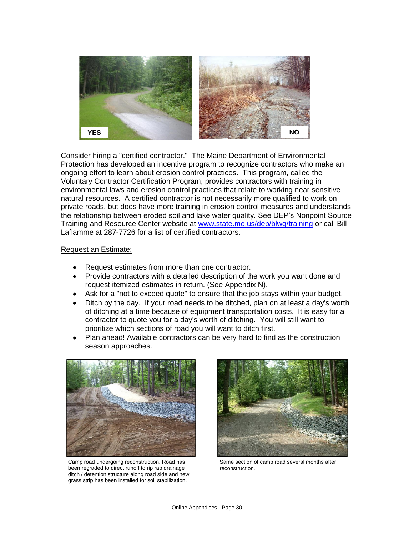

Consider hiring a "certified contractor." The Maine Department of Environmental Protection has developed an incentive program to recognize contractors who make an ongoing effort to learn about erosion control practices. This program, called the Voluntary Contractor Certification Program, provides contractors with training in environmental laws and erosion control practices that relate to working near sensitive natural resources. A certified contractor is not necessarily more qualified to work on private roads, but does have more training in erosion control measures and understands the relationship between eroded soil and lake water quality. See DEP's Nonpoint Source Training and Resource Center website at [www.state.me.us/dep/blwq/training](http://www.state.me.us/dep/blwq/training) or call Bill Laflamme at 287-7726 for a list of certified contractors.

## Request an Estimate:

- Request estimates from more than one contractor.
- Provide contractors with a detailed description of the work you want done and request itemized estimates in return. (See Appendix N).
- Ask for a "not to exceed quote" to ensure that the job stays within your budget.
- Ditch by the day. If your road needs to be ditched, plan on at least a day's worth of ditching at a time because of equipment transportation costs. It is easy for a contractor to quote you for a day's worth of ditching. You will still want to prioritize which sections of road you will want to ditch first.
- Plan ahead! Available contractors can be very hard to find as the construction season approaches.



Camp road undergoing reconstruction. Road has been regraded to direct runoff to rip rap drainage ditch / detention structure along road side and new grass strip has been installed for soil stabilization.



Same section of camp road several months after reconstruction.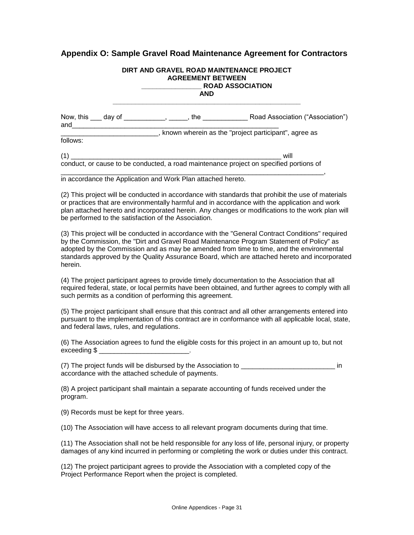# <span id="page-30-0"></span>**Appendix O: Sample Gravel Road Maintenance Agreement for Contractors**

# **DIRT AND GRAVEL ROAD MAINTENANCE PROJECT AGREEMENT BETWEEN \_\_\_\_\_\_\_\_\_\_\_\_\_\_\_\_ ROAD ASSOCIATION AND \_\_\_\_\_\_\_\_\_\_\_\_\_\_\_\_\_\_\_\_\_\_\_\_\_\_\_\_\_\_\_\_\_\_\_\_\_\_\_\_\_\_\_\_\_\_\_\_\_\_** Now, this \_\_\_ day of \_\_\_\_\_\_\_\_\_\_\_, \_\_\_\_\_, the \_\_\_\_\_\_\_\_\_\_\_\_ Road Association ("Association") and  $\Box$ \_\_\_\_\_\_\_\_\_\_\_\_\_\_\_\_\_\_\_\_\_\_\_\_\_\_, known wherein as the "project participant", agree as follows:

(1) \_\_\_\_\_\_\_\_\_\_\_\_\_\_\_\_\_\_\_\_\_\_\_\_\_\_\_\_\_\_\_\_\_\_\_\_\_\_\_\_\_\_\_\_\_\_\_\_\_\_\_\_\_\_\_\_ will conduct, or cause to be conducted, a road maintenance project on specified portions of

\_\_\_\_\_\_\_\_\_\_\_\_\_\_\_\_\_\_\_\_\_\_\_\_\_\_\_\_\_\_\_\_\_\_\_\_\_\_\_\_\_\_\_\_\_\_\_\_\_\_\_\_\_\_\_\_\_\_\_\_\_\_\_\_\_\_\_\_\_\_, in accordance the Application and Work Plan attached hereto.

(2) This project will be conducted in accordance with standards that prohibit the use of materials or practices that are environmentally harmful and in accordance with the application and work plan attached hereto and incorporated herein. Any changes or modifications to the work plan will be performed to the satisfaction of the Association.

(3) This project will be conducted in accordance with the "General Contract Conditions" required by the Commission, the "Dirt and Gravel Road Maintenance Program Statement of Policy" as adopted by the Commission and as may be amended from time to time, and the environmental standards approved by the Quality Assurance Board, which are attached hereto and incorporated herein.

(4) The project participant agrees to provide timely documentation to the Association that all required federal, state, or local permits have been obtained, and further agrees to comply with all such permits as a condition of performing this agreement.

(5) The project participant shall ensure that this contract and all other arrangements entered into pursuant to the implementation of this contract are in conformance with all applicable local, state, and federal laws, rules, and regulations.

(6) The Association agrees to fund the eligible costs for this project in an amount up to, but not exceeding \$ \_\_\_\_\_\_\_\_\_\_\_\_\_\_\_\_\_\_\_\_\_\_\_\_.

(7) The project funds will be disbursed by the Association to  $\blacksquare$ accordance with the attached schedule of payments.

(8) A project participant shall maintain a separate accounting of funds received under the program.

(9) Records must be kept for three years.

(10) The Association will have access to all relevant program documents during that time.

(11) The Association shall not be held responsible for any loss of life, personal injury, or property damages of any kind incurred in performing or completing the work or duties under this contract.

(12) The project participant agrees to provide the Association with a completed copy of the Project Performance Report when the project is completed.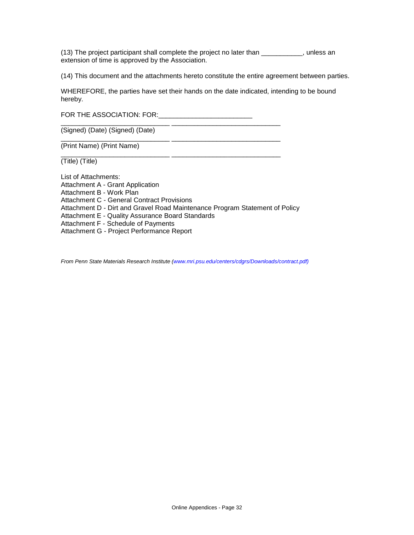(13) The project participant shall complete the project no later than \_\_\_\_\_\_\_\_\_\_\_, unless an extension of time is approved by the Association.

(14) This document and the attachments hereto constitute the entire agreement between parties.

WHEREFORE, the parties have set their hands on the date indicated, intending to be bound hereby.

FOR THE ASSOCIATION: FOR:\_\_\_\_\_\_\_\_\_\_\_\_\_\_\_\_\_\_\_\_\_\_\_\_\_

\_\_\_\_\_\_\_\_\_\_\_\_\_\_\_\_\_\_\_\_\_\_\_\_\_\_\_\_\_ \_\_\_\_\_\_\_\_\_\_\_\_\_\_\_\_\_\_\_\_\_\_\_\_\_\_\_\_\_

\_\_\_\_\_\_\_\_\_\_\_\_\_\_\_\_\_\_\_\_\_\_\_\_\_\_\_\_\_ \_\_\_\_\_\_\_\_\_\_\_\_\_\_\_\_\_\_\_\_\_\_\_\_\_\_\_\_\_

\_\_\_\_\_\_\_\_\_\_\_\_\_\_\_\_\_\_\_\_\_\_\_\_\_\_\_\_\_ \_\_\_\_\_\_\_\_\_\_\_\_\_\_\_\_\_\_\_\_\_\_\_\_\_\_\_\_\_ (Signed) (Date) (Signed) (Date)

(Print Name) (Print Name)

(Title) (Title)

List of Attachments: Attachment A - Grant Application Attachment B - Work Plan Attachment C - General Contract Provisions Attachment D - Dirt and Gravel Road Maintenance Program Statement of Policy Attachment E - Quality Assurance Board Standards Attachment F - Schedule of Payments Attachment G - Project Performance Report

*From Penn State Materials Research Institute (www.mri.psu.edu/centers/cdgrs/Downloads/contract.pdf)*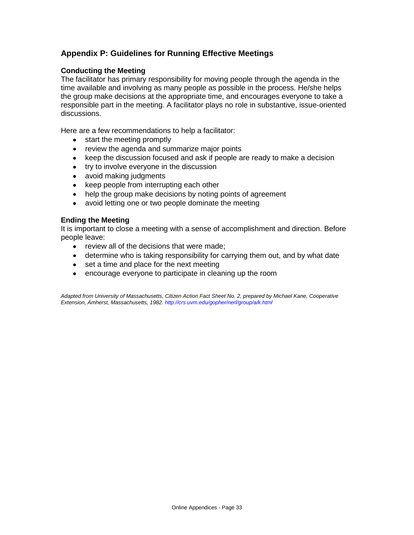# <span id="page-32-0"></span>**Appendix P: Guidelines for Running Effective Meetings**

## **Conducting the Meeting**

The facilitator has primary responsibility for moving people through the agenda in the time available and involving as many people as possible in the process. He/she helps the group make decisions at the appropriate time, and encourages everyone to take a responsible part in the meeting. A facilitator plays no role in substantive, issue-oriented discussions.

Here are a few recommendations to help a facilitator:

- start the meeting promptly  $\bullet$
- review the agenda and summarize major points  $\bullet$
- keep the discussion focused and ask if people are ready to make a decision
- try to involve everyone in the discussion
- avoid making judgments
- keep people from interrupting each other
- help the group make decisions by noting points of agreement
- avoid letting one or two people dominate the meeting  $\bullet$

## **Ending the Meeting**

It is important to close a meeting with a sense of accomplishment and direction. Before people leave:

- $\bullet$  review all of the decisions that were made:
- determine who is taking responsibility for carrying them out, and by what date
- set a time and place for the next meeting
- encourage everyone to participate in cleaning up the room

*Adapted from University of Massachusetts, Citizen Action Fact Sheet No. 2, prepared by Michael Kane, Cooperative Extension, Amherst, Massachusetts, 1982. http://crs.uvm.edu/gopher/nerl/group/a/k.html*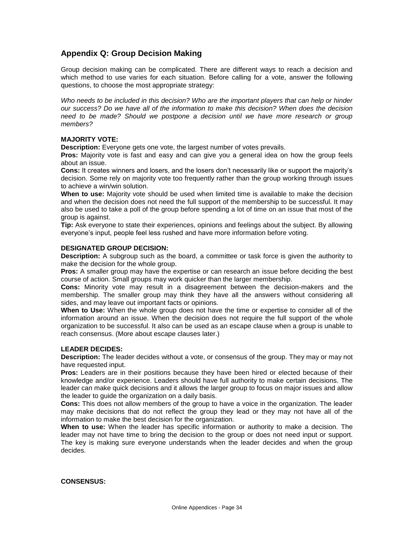# <span id="page-33-0"></span>**Appendix Q: Group Decision Making**

Group decision making can be complicated. There are different ways to reach a decision and which method to use varies for each situation. Before calling for a vote, answer the following questions, to choose the most appropriate strategy:

*Who needs to be included in this decision? Who are the important players that can help or hinder our success? Do we have all of the information to make this decision? When does the decision need to be made? Should we postpone a decision until we have more research or group members?*

## **MAJORITY VOTE:**

**Description:** Everyone gets one vote, the largest number of votes prevails.

**Pros:** Majority vote is fast and easy and can give you a general idea on how the group feels about an issue.

**Cons:** It creates winners and losers, and the losers don't necessarily like or support the majority's decision. Some rely on majority vote too frequently rather than the group working through issues to achieve a win/win solution.

**When to use:** Majority vote should be used when limited time is available to make the decision and when the decision does not need the full support of the membership to be successful. It may also be used to take a poll of the group before spending a lot of time on an issue that most of the group is against.

**Tip:** Ask everyone to state their experiences, opinions and feelings about the subject. By allowing everyone's input, people feel less rushed and have more information before voting.

#### **DESIGNATED GROUP DECISION:**

**Description:** A subgroup such as the board, a committee or task force is given the authority to make the decision for the whole group.

**Pros:** A smaller group may have the expertise or can research an issue before deciding the best course of action. Small groups may work quicker than the larger membership.

**Cons:** Minority vote may result in a disagreement between the decision-makers and the membership. The smaller group may think they have all the answers without considering all sides, and may leave out important facts or opinions.

**When to Use:** When the whole group does not have the time or expertise to consider all of the information around an issue. When the decision does not require the full support of the whole organization to be successful. It also can be used as an escape clause when a group is unable to reach consensus. (More about escape clauses later.)

## **LEADER DECIDES:**

**Description:** The leader decides without a vote, or consensus of the group. They may or may not have requested input.

**Pros:** Leaders are in their positions because they have been hired or elected because of their knowledge and/or experience. Leaders should have full authority to make certain decisions. The leader can make quick decisions and it allows the larger group to focus on major issues and allow the leader to guide the organization on a daily basis.

**Cons:** This does not allow members of the group to have a voice in the organization. The leader may make decisions that do not reflect the group they lead or they may not have all of the information to make the best decision for the organization.

**When to use:** When the leader has specific information or authority to make a decision. The leader may not have time to bring the decision to the group or does not need input or support. The key is making sure everyone understands when the leader decides and when the group decides.

#### **CONSENSUS:**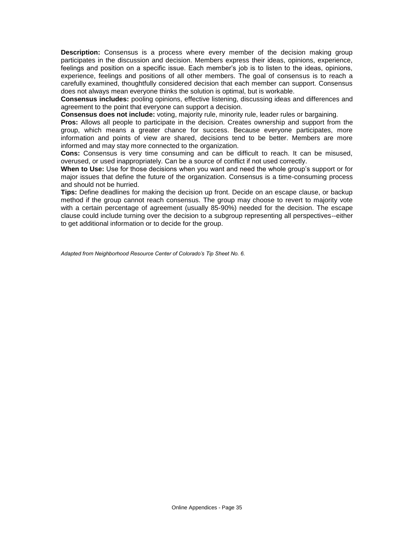**Description:** Consensus is a process where every member of the decision making group participates in the discussion and decision. Members express their ideas, opinions, experience, feelings and position on a specific issue. Each member's job is to listen to the ideas, opinions, experience, feelings and positions of all other members. The goal of consensus is to reach a carefully examined, thoughtfully considered decision that each member can support. Consensus does not always mean everyone thinks the solution is optimal, but is workable.

**Consensus includes:** pooling opinions, effective listening, discussing ideas and differences and agreement to the point that everyone can support a decision.

**Consensus does not include:** voting, majority rule, minority rule, leader rules or bargaining.

**Pros:** Allows all people to participate in the decision. Creates ownership and support from the group, which means a greater chance for success. Because everyone participates, more information and points of view are shared, decisions tend to be better. Members are more informed and may stay more connected to the organization.

**Cons:** Consensus is very time consuming and can be difficult to reach. It can be misused, overused, or used inappropriately. Can be a source of conflict if not used correctly.

**When to Use:** Use for those decisions when you want and need the whole group's support or for major issues that define the future of the organization. Consensus is a time-consuming process and should not be hurried.

**Tips:** Define deadlines for making the decision up front. Decide on an escape clause, or backup method if the group cannot reach consensus. The group may choose to revert to majority vote with a certain percentage of agreement (usually 85-90%) needed for the decision. The escape clause could include turning over the decision to a subgroup representing all perspectives--either to get additional information or to decide for the group.

*Adapted from Neighborhood Resource Center of Colorado's Tip Sheet No. 6.*